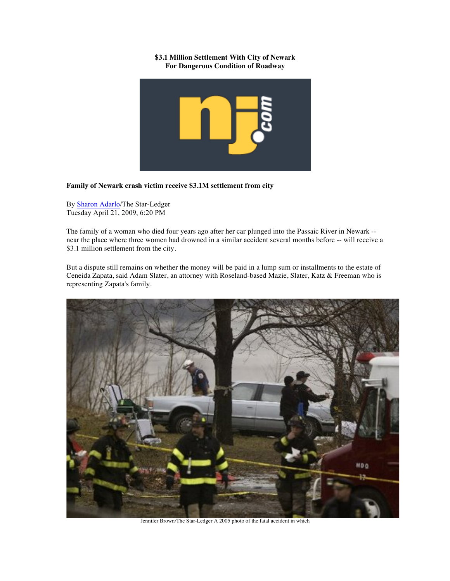## **\$3.1 Million Settlement With City of Newark For Dangerous Condition of Roadway**



## **Family of Newark crash victim receive \$3.1M settlement from city**

By Sharon Adarlo/The Star-Ledger Tuesday April 21, 2009, 6:20 PM

The family of a woman who died four years ago after her car plunged into the Passaic River in Newark - near the place where three women had drowned in a similar accident several months before -- will receive a \$3.1 million settlement from the city.

But a dispute still remains on whether the money will be paid in a lump sum or installments to the estate of Ceneida Zapata, said Adam Slater, an attorney with Roseland-based Mazie, Slater, Katz & Freeman who is representing Zapata's family.



Jennifer Brown/The Star-Ledger A 2005 photo of the fatal accident in which